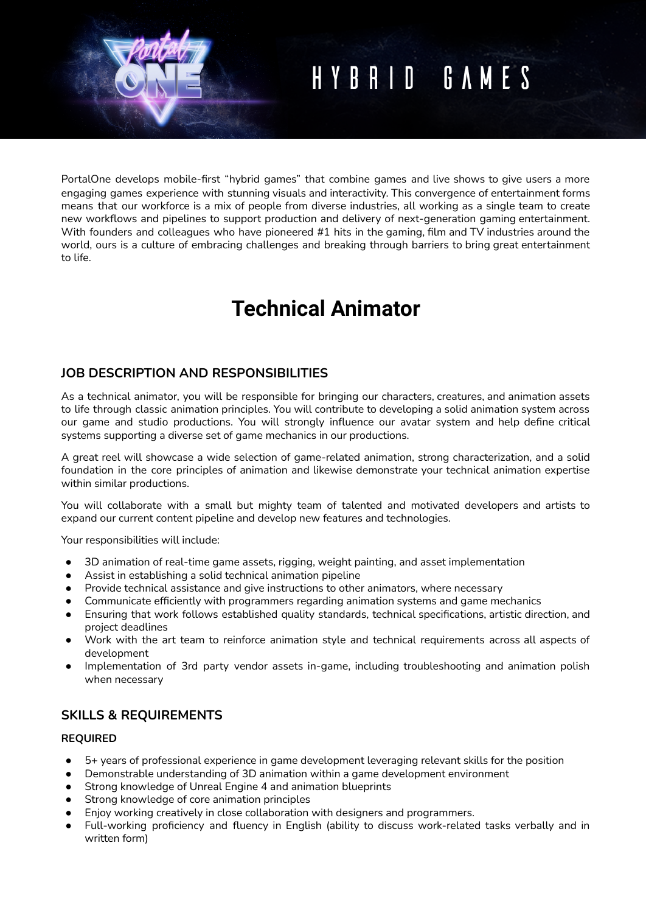# HYBRID GAMES

PortalOne develops mobile-first "hybrid games" that combine games and live shows to give users a more engaging games experience with stunning visuals and interactivity. This convergence of entertainment forms means that our workforce is a mix of people from diverse industries, all working as a single team to create new workflows and pipelines to support production and delivery of next-generation gaming entertainment. With founders and colleagues who have pioneered #1 hits in the gaming, film and TV industries around the world, ours is a culture of embracing challenges and breaking through barriers to bring great entertainment to life.

# **Technical Animator**

# **JOB DESCRIPTION AND RESPONSIBILITIES**

As a technical animator, you will be responsible for bringing our characters, creatures, and animation assets to life through classic animation principles. You will contribute to developing a solid animation system across our game and studio productions. You will strongly influence our avatar system and help define critical systems supporting a diverse set of game mechanics in our productions.

A great reel will showcase a wide selection of game-related animation, strong characterization, and a solid foundation in the core principles of animation and likewise demonstrate your technical animation expertise within similar productions.

You will collaborate with a small but mighty team of talented and motivated developers and artists to expand our current content pipeline and develop new features and technologies.

Your responsibilities will include:

- 3D animation of real-time game assets, rigging, weight painting, and asset implementation
- Assist in establishing a solid technical animation pipeline
- Provide technical assistance and give instructions to other animators, where necessary
- Communicate efficiently with programmers regarding animation systems and game mechanics
- Ensuring that work follows established quality standards, technical specifications, artistic direction, and project deadlines
- Work with the art team to reinforce animation style and technical requirements across all aspects of development
- Implementation of 3rd party vendor assets in-game, including troubleshooting and animation polish when necessary

# **SKILLS & REQUIREMENTS**

#### **REQUIRED**

- 5+ years of professional experience in game development leveraging relevant skills for the position
- Demonstrable understanding of 3D animation within a game development environment
- Strong knowledge of Unreal Engine 4 and animation blueprints
- Strong knowledge of core animation principles
- Enjoy working creatively in close collaboration with designers and programmers.
- Full-working proficiency and fluency in English (ability to discuss work-related tasks verbally and in written form)